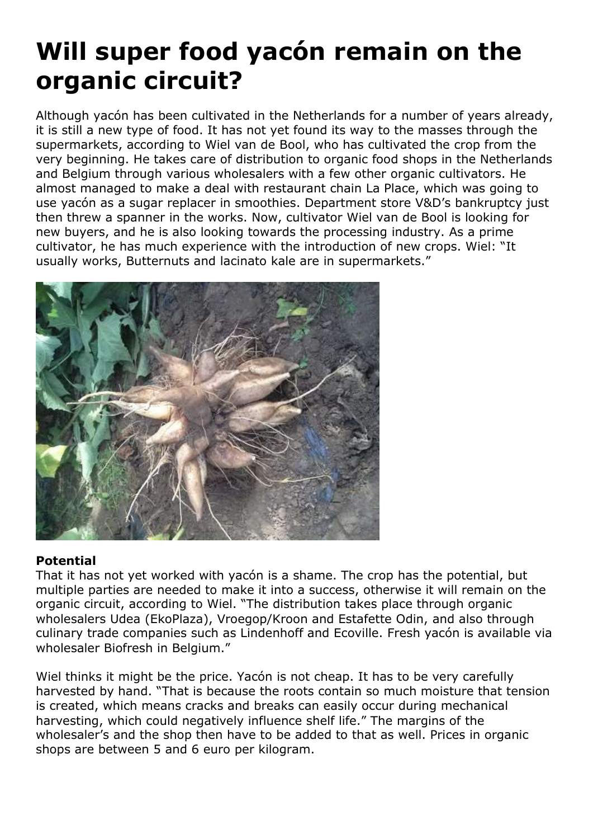# **Will super food yacón remain on the organic circuit?**

Although yacón has been cultivated in the Netherlands for a number of years already, it is still a new type of food. It has not yet found its way to the masses through the supermarkets, according to Wiel van de Bool, who has cultivated the crop from the very beginning. He takes care of distribution to organic food shops in the Netherlands and Belgium through various wholesalers with a few other organic cultivators. He almost managed to make a deal with restaurant chain La Place, which was going to use yacón as a sugar replacer in smoothies. Department store V&D's bankruptcy just then threw a spanner in the works. Now, cultivator Wiel van de Bool is looking for new buyers, and he is also looking towards the processing industry. As a prime cultivator, he has much experience with the introduction of new crops. Wiel: "It usually works, Butternuts and lacinato kale are in supermarkets."



## **Potential**

That it has not yet worked with yacón is a shame. The crop has the potential, but multiple parties are needed to make it into a success, otherwise it will remain on the organic circuit, according to Wiel. "The distribution takes place through organic wholesalers Udea (EkoPlaza), Vroegop/Kroon and Estafette Odin, and also through culinary trade companies such as Lindenhoff and Ecoville. Fresh yacón is available via wholesaler Biofresh in Belgium."

Wiel thinks it might be the price. Yacón is not cheap. It has to be very carefully harvested by hand. "That is because the roots contain so much moisture that tension is created, which means cracks and breaks can easily occur during mechanical harvesting, which could negatively influence shelf life." The margins of the wholesaler's and the shop then have to be added to that as well. Prices in organic shops are between 5 and 6 euro per kilogram.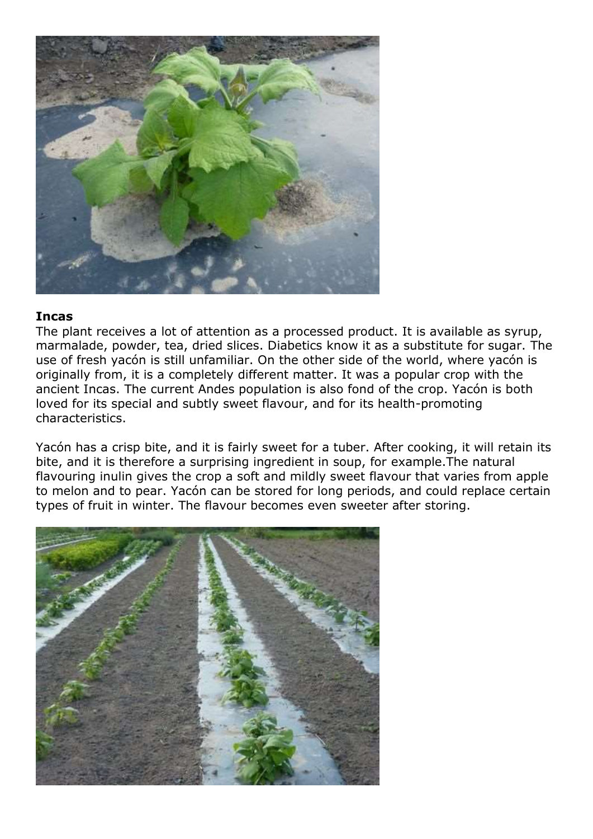

### **Incas**

The plant receives a lot of attention as a processed product. It is available as syrup, marmalade, powder, tea, dried slices. Diabetics know it as a substitute for sugar. The use of fresh yacón is still unfamiliar. On the other side of the world, where yacón is originally from, it is a completely different matter. It was a popular crop with the ancient Incas. The current Andes population is also fond of the crop. Yacón is both loved for its special and subtly sweet flavour, and for its health-promoting characteristics.

Yacón has a crisp bite, and it is fairly sweet for a tuber. After cooking, it will retain its bite, and it is therefore a surprising ingredient in soup, for example.The natural flavouring inulin gives the crop a soft and mildly sweet flavour that varies from apple to melon and to pear. Yacón can be stored for long periods, and could replace certain types of fruit in winter. The flavour becomes even sweeter after storing.

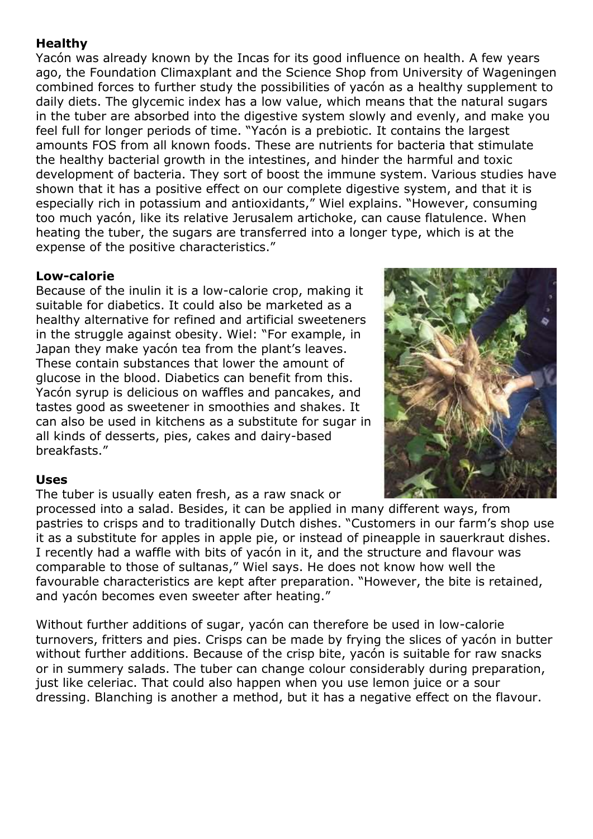# **Healthy**

Yacón was already known by the Incas for its good influence on health. A few years ago, the Foundation Climaxplant and the Science Shop from University of Wageningen combined forces to further study the possibilities of yacón as a healthy supplement to daily diets. The glycemic index has a low value, which means that the natural sugars in the tuber are absorbed into the digestive system slowly and evenly, and make you feel full for longer periods of time. "Yacón is a prebiotic. It contains the largest amounts FOS from all known foods. These are nutrients for bacteria that stimulate the healthy bacterial growth in the intestines, and hinder the harmful and toxic development of bacteria. They sort of boost the immune system. Various studies have shown that it has a positive effect on our complete digestive system, and that it is especially rich in potassium and antioxidants," Wiel explains. "However, consuming too much yacón, like its relative Jerusalem artichoke, can cause flatulence. When heating the tuber, the sugars are transferred into a longer type, which is at the expense of the positive characteristics."

## **Low-calorie**

Because of the inulin it is a low-calorie crop, making it suitable for diabetics. It could also be marketed as a healthy alternative for refined and artificial sweeteners in the struggle against obesity. Wiel: "For example, in Japan they make yacón tea from the plant's leaves. These contain substances that lower the amount of glucose in the blood. Diabetics can benefit from this. Yacón syrup is delicious on waffles and pancakes, and tastes good as sweetener in smoothies and shakes. It can also be used in kitchens as a substitute for sugar in all kinds of desserts, pies, cakes and dairy-based breakfasts."



## **Uses**

The tuber is usually eaten fresh, as a raw snack or

processed into a salad. Besides, it can be applied in many different ways, from pastries to crisps and to traditionally Dutch dishes. "Customers in our farm's shop use it as a substitute for apples in apple pie, or instead of pineapple in sauerkraut dishes. I recently had a waffle with bits of yacón in it, and the structure and flavour was comparable to those of sultanas," Wiel says. He does not know how well the favourable characteristics are kept after preparation. "However, the bite is retained, and yacón becomes even sweeter after heating."

Without further additions of sugar, yacón can therefore be used in low-calorie turnovers, fritters and pies. Crisps can be made by frying the slices of yacón in butter without further additions. Because of the crisp bite, yacón is suitable for raw snacks or in summery salads. The tuber can change colour considerably during preparation, just like celeriac. That could also happen when you use lemon juice or a sour dressing. Blanching is another a method, but it has a negative effect on the flavour.